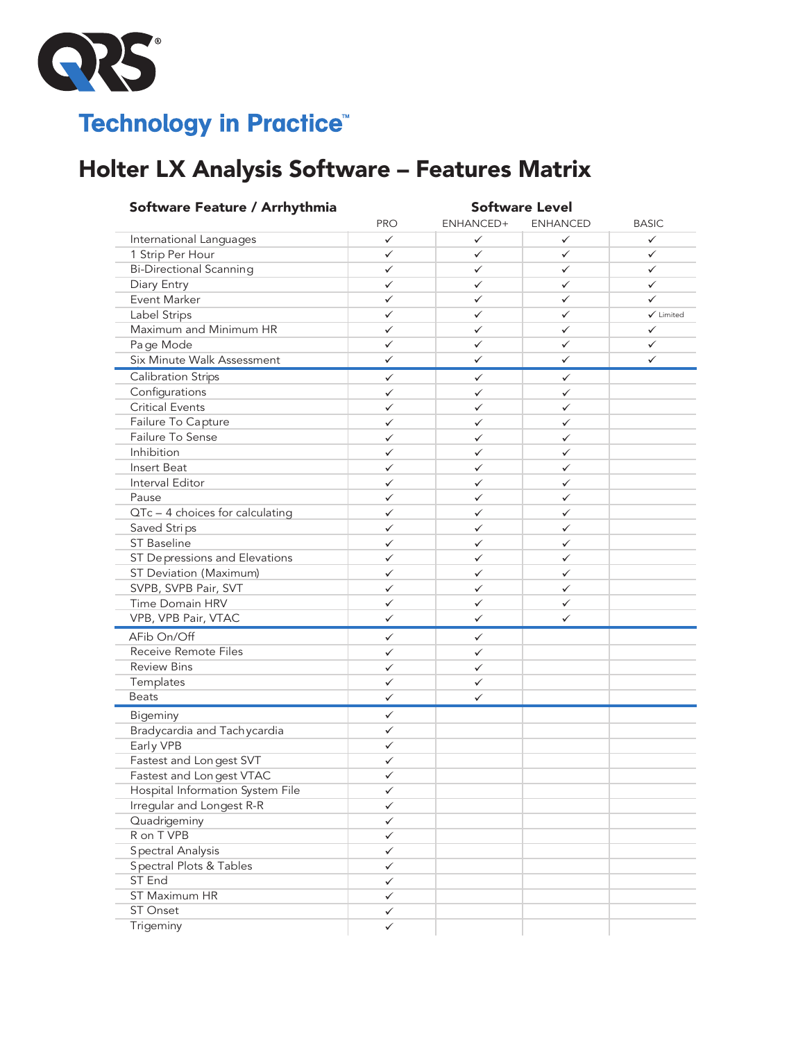

## **Technology in Practice®**

## Holter LX Analysis Software – Features Matrix or IV Analysis Coftware Features Matr **PRODUCED**

| Software Feature / Arrhythmia          | <b>Software Level</b>  |              |                 |                      |  |
|----------------------------------------|------------------------|--------------|-----------------|----------------------|--|
|                                        | <b>PRO</b>             | ENHANCED+    | <b>ENHANCED</b> | <b>BASIC</b>         |  |
| International Languages                | ✓                      | ✓            | ✓               | ✓                    |  |
| 1 Strip Per Hour                       | $\checkmark$           | ✓            | ✓               | ✓                    |  |
| <b>Bi-Directional Scanning</b>         | $\checkmark$           | ✓            | ✓               | ✓                    |  |
| Diary Entry                            | $\checkmark$           | ✓            | ✓               | ✓                    |  |
| Event Marker                           | $\checkmark$           | ✓            | ✓               | ✓                    |  |
| Label Strips                           | $\checkmark$           | ✓            | ✓               | $\checkmark$ Limited |  |
| Maximum and Minimum HR                 | $\checkmark$           | ✓            | ✓               | $\checkmark$         |  |
| Page Mode                              | $\checkmark$           | ✓            | ✓               | ✓                    |  |
| Six Minute Walk Assessment             | $\checkmark$           | ✓            | ✓               | ✓                    |  |
| Calibration Strips                     | $\checkmark$           | $\checkmark$ | ✓               |                      |  |
| Configurations                         | $\checkmark$           | ✓            | $\checkmark$    |                      |  |
| <b>Critical Events</b>                 | ✓                      | ✓            | ✓               |                      |  |
| Failure To Capture                     | ✓                      | ✓            | ✓               |                      |  |
| Failure To Sense                       | $\checkmark$           | ✓            | ✓               |                      |  |
| Inhibition                             | $\checkmark$           | ✓            | ✓               |                      |  |
| Insert Beat                            | ✓                      | ✓            | ✓               |                      |  |
| Interval Editor                        | $\checkmark$           | ✓            | ✓               |                      |  |
| Pause                                  | ✓                      | ✓            | ✓               |                      |  |
| QTc - 4 choices for calculating        | $\checkmark$           | $\checkmark$ | ✓               |                      |  |
| Saved Strips                           | $\checkmark$           | $\checkmark$ | ✓               |                      |  |
| <b>ST Baseline</b>                     | $\checkmark$           | $\checkmark$ | $\checkmark$    |                      |  |
| ST Depressions and Elevations          | $\checkmark$           | $\checkmark$ | ✓               |                      |  |
| ST Deviation (Maximum)                 | ✓                      | ✓            | ✓               |                      |  |
| SVPB, SVPB Pair, SVT                   | $\checkmark$           | ✓            | ✓               |                      |  |
| Time Domain HRV                        | $\checkmark$           | ✓            | $\checkmark$    |                      |  |
| VPB, VPB Pair, VTAC                    | $\checkmark$           | ✓            | ✓               |                      |  |
| AFib On/Off                            | $\checkmark$           | $\checkmark$ |                 |                      |  |
| Receive Remote Files                   | ✓                      | $\checkmark$ |                 |                      |  |
| <b>Review Bins</b>                     | ✓                      | ✓            |                 |                      |  |
| Templates                              | ✓                      | ✓            |                 |                      |  |
| <b>Beats</b>                           | $\checkmark$           | ✓            |                 |                      |  |
| Bigeminy                               | $\checkmark$           |              |                 |                      |  |
| Bradycardia and Tachycardia            | ✓                      |              |                 |                      |  |
| Early VPB                              | ✓                      |              |                 |                      |  |
| Fastest and Longest SVT                | $\checkmark$           |              |                 |                      |  |
| Fastest and Longest VTAC               | ✓                      |              |                 |                      |  |
| Hospital Information System File       | ✓                      |              |                 |                      |  |
| Irregular and Longest R-R              | ✓                      |              |                 |                      |  |
| Quadrigeminy                           | $\checkmark$           |              |                 |                      |  |
| R on T VPB                             | ✓                      |              |                 |                      |  |
| Spectral Analysis                      | ✓                      |              |                 |                      |  |
| Spectral Plots & Tables                | ✓                      |              |                 |                      |  |
| ST End                                 |                        |              |                 |                      |  |
|                                        | $\checkmark$           |              |                 |                      |  |
|                                        |                        |              |                 |                      |  |
|                                        |                        |              |                 |                      |  |
| ST Maximum HR<br>ST Onset<br>Trigeminy | $\checkmark$<br>✓<br>✓ |              |                 |                      |  |